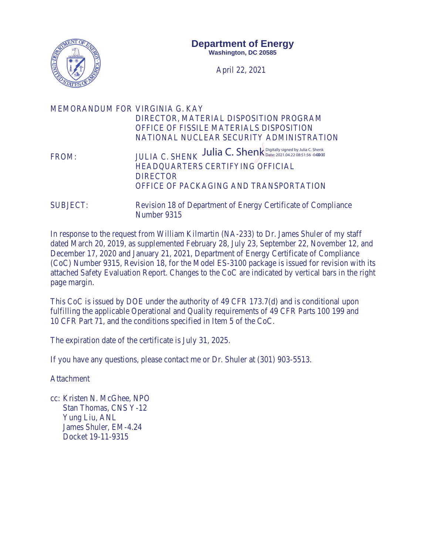

April 22, 2021

| MEMORANDUM FOR VIRGINIA G. KAY | DIRECTOR, MATERIAL DISPOSITION PROGRAM<br>OFFICE OF FISSILE MATERIALS DISPOSITION<br>NATIONAL NUCLEAR SECURITY ADMINISTRATION                                           |
|--------------------------------|-------------------------------------------------------------------------------------------------------------------------------------------------------------------------|
| FROM:                          | JULIA C. SHENK <b>Allia C. Shenk</b> Date: 2021.04.22 08:51:56 -04/008<br>HEADQUARTERS CERTIFYING OFFICIAL<br><b>DIRECTOR</b><br>OFFICE OF PACKAGING AND TRANSPORTATION |
| <b>SUBJECT:</b>                | Revision 18 of Department of Energy Certificate of Compliance<br>Number 9315                                                                                            |

In response to the request from William Kilmartin (NA-233) to Dr. James Shuler of my staff dated March 20, 2019, as supplemented February 28, July 23, September 22, November 12, and December 17, 2020 and January 21, 2021, Department of Energy Certificate of Compliance (CoC) Number 9315, Revision 18, for the Model ES-3100 package is issued for revision with its attached Safety Evaluation Report. Changes to the CoC are indicated by vertical bars in the right page margin.

This CoC is issued by DOE under the authority of 49 CFR 173.7(d) and is conditional upon fulfilling the applicable Operational and Quality requirements of 49 CFR Parts 100 199 and 10 CFR Part 71, and the conditions specified in Item 5 of the CoC.

The expiration date of the certificate is July 31, 2025.

If you have any questions, please contact me or Dr. Shuler at (301) 903-5513.

Attachment

cc: Kristen N. McGhee, NPO Stan Thomas, CNS Y-12 Yung Liu, ANL James Shuler, EM-4.24 Docket 19-11-9315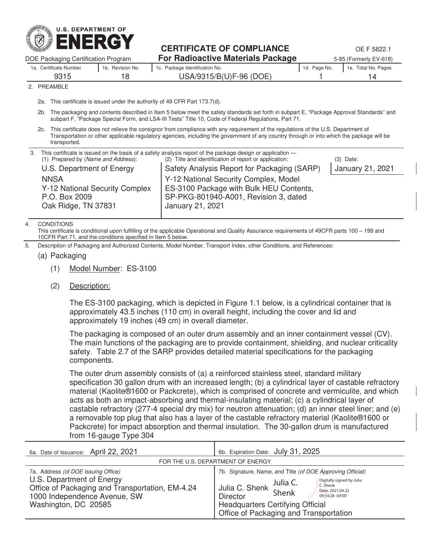

# **CERTIFICATE OF COMPLIANCE** OF T5822.1

DOE Packaging Certification Program **For Radioactive Materials Package** 5-85 (Formerly EV-618) 1a. Certificate Number 1b. Revision No. 1c. Package Identification No. 1c. 1d. Page No. 1e. Total No. Pages 9315 18 USA/9315/B(U)F-96 (DOE) 1 14

**PREAMBLE** 

2a. This certificate is issued under the authority of 49 CFR Part 173.7(d).

2b. The packaging and contents described in Item 5 below meet the safety standards set forth in subpart E, "Package Approval Standards" and subpart F, "Package Special Form, and LSA-III Tests" Title 10, Code of Federal Regulations, Part 71.

2c. This certificate does not relieve the consignor from compliance with any requirement of the regulations of the U.S. Department of Transportation or other applicable regulatory agencies, including the government of any country through or into which the package will be transported.

| 3. | (1) Prepared by (Name and Address):<br>U.S. Department of Energy<br><b>NNSA</b><br>Y-12 National Security Complex<br>P.O. Box 2009 | This certificate is issued on the basis of a safety analysis report of the package design or application —<br>(2) Title and identification of report or application:<br>Safety Analysis Report for Packaging (SARP)<br>Y-12 National Security Complex, Model<br>ES-3100 Package with Bulk HEU Contents,<br>SP-PKG-801940-A001, Revision 3, dated | $(3)$ Date:<br>January 21, 2021 |
|----|------------------------------------------------------------------------------------------------------------------------------------|--------------------------------------------------------------------------------------------------------------------------------------------------------------------------------------------------------------------------------------------------------------------------------------------------------------------------------------------------|---------------------------------|
|    | Oak Ridge, TN 37831                                                                                                                | January 21, 2021                                                                                                                                                                                                                                                                                                                                 |                                 |

4. CONDITIONS

This certificate is conditional upon fulfilling of the applicable Operational and Quality Assurance requirements of 49CFR parts 100 – 199 and 10CFR Part 71, and the conditions specified in Item 5 below.

5. Description of Packaging and Authorized Contents, Model Number, Transport Index, other Conditions, and References:

(a) Packaging

- (1) Model Number: ES-3100
- (2) Description:

The ES-3100 packaging, which is depicted in Figure 1.1 below, is a cylindrical container that is approximately 43.5 inches (110 cm) in overall height, including the cover and lid and approximately 19 inches (49 cm) in overall diameter.

The packaging is composed of an outer drum assembly and an inner containment vessel (CV). The main functions of the packaging are to provide containment, shielding, and nuclear criticality safety. Table 2.7 of the SARP provides detailed material specifications for the packaging components.

The outer drum assembly consists of (a) a reinforced stainless steel, standard military specification 30 gallon drum with an increased length; (b) a cylindrical layer of castable refractory material (Kaolite®1600 or Packcrete), which is comprised of concrete and vermiculite, and which acts as both an impact-absorbing and thermal-insulating material; (c) a cylindrical layer of castable refractory (277-4 special dry mix) for neutron attenuation; (d) an inner steel liner; and (e) a removable top plug that also has a layer of the castable refractory material (Kaolite®1600 or Packcrete) for impact absorption and thermal insulation. The 30-gallon drum is manufactured from 16-gauge Type 304

| 6a. Date of Issuance: April 22, 2021                                                                                                                                        | 6b. Expiration Date: July 31, 2025                                                                                                                                                                                                                                        |  |
|-----------------------------------------------------------------------------------------------------------------------------------------------------------------------------|---------------------------------------------------------------------------------------------------------------------------------------------------------------------------------------------------------------------------------------------------------------------------|--|
|                                                                                                                                                                             | FOR THE U.S. DEPARTMENT OF ENERGY                                                                                                                                                                                                                                         |  |
| 7a. Address (of DOE Issuing Office)<br>U.S. Department of Energy<br>Office of Packaging and Transportation, EM-4.24<br>1000 Independence Avenue, SW<br>Washington, DC 20585 | 7b. Signature, Name, and Title (of DOE Approving Official)<br>Digitally signed by Julia<br>Julia C.<br>C. Shenk<br>Julia C. Shenk Shenk<br>Date: 2021.04.22<br>Director<br>09:54:28 -04'00'<br>Headquarters Certifying Official<br>Office of Packaging and Transportation |  |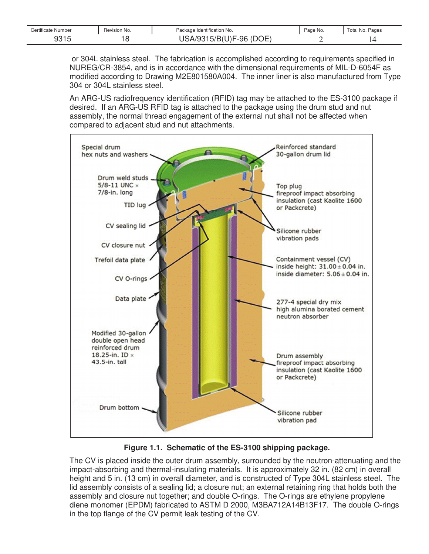| Certificate Number | Revision No. | Package Identification No.   | Page No. | Total No<br>Pages |
|--------------------|--------------|------------------------------|----------|-------------------|
| 0.04r<br>ں رہ ن    |              | (DOE<br>$-96$<br>$\gamma$ Bi |          |                   |

 or 304L stainless steel. The fabrication is accomplished according to requirements specified in NUREG/CR-3854, and is in accordance with the dimensional requirements of MIL-D-6054F as modified according to Drawing M2E801580A004. The inner liner is also manufactured from Type 304 or 304L stainless steel.

An ARG-US radiofrequency identification (RFID) tag may be attached to the ES-3100 package if desired. If an ARG-US RFID tag is attached to the package using the drum stud and nut assembly, the normal thread engagement of the external nut shall not be affected when compared to adjacent stud and nut attachments.



**Figure 1.1. Schematic of the ES-3100 shipping package.** 

The CV is placed inside the outer drum assembly, surrounded by the neutron-attenuating and the impact-absorbing and thermal-insulating materials. It is approximately 32 in. (82 cm) in overall height and 5 in. (13 cm) in overall diameter, and is constructed of Type 304L stainless steel. The lid assembly consists of a sealing lid; a closure nut; an external retaining ring that holds both the assembly and closure nut together; and double O-rings. The O-rings are ethylene propylene diene monomer (EPDM) fabricated to ASTM D 2000, M3BA712A14B13F17. The double O-rings in the top flange of the CV permit leak testing of the CV.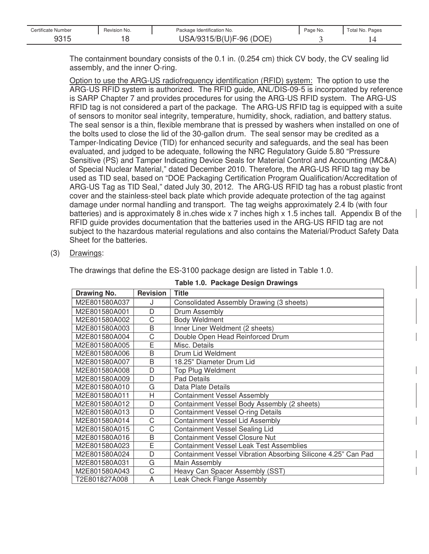| Certificate Number | Revision No. | Package Identification No. | Page No. | Total No. Pages |
|--------------------|--------------|----------------------------|----------|-----------------|
| 9315<br>JU I J     | ╰            | USA/9315/B(U)F-96 (DOE)    |          |                 |

The containment boundary consists of the 0.1 in. (0.254 cm) thick CV body, the CV sealing lid assembly, and the inner O-ring.

Option to use the ARG-US radiofrequency identification (RFID) system: The option to use the ARG-US RFID system is authorized. The RFID guide, ANL/DIS-09-5 is incorporated by reference is SARP Chapter 7 and provides procedures for using the ARG-US RFID system. The ARG-US RFID tag is not considered a part of the package. The ARG-US RFID tag is equipped with a suite of sensors to monitor seal integrity, temperature, humidity, shock, radiation, and battery status. The seal sensor is a thin, flexible membrane that is pressed by washers when installed on one of the bolts used to close the lid of the 30-gallon drum. The seal sensor may be credited as a Tamper-Indicating Device (TID) for enhanced security and safeguards, and the seal has been evaluated, and judged to be adequate, following the NRC Regulatory Guide 5.80 "Pressure Sensitive (PS) and Tamper Indicating Device Seals for Material Control and Accounting (MC&A) of Special Nuclear Material," dated December 2010. Therefore, the ARG-US RFID tag may be used as TID seal, based on "DOE Packaging Certification Program Qualification/Accreditation of ARG-US Tag as TID Seal," dated July 30, 2012. The ARG-US RFID tag has a robust plastic front cover and the stainless-steel back plate which provide adequate protection of the tag against damage under normal handling and transport. The tag weighs approximately 2.4 lb (with four batteries) and is approximately 8 in.ches wide x 7 inches high x 1.5 inches tall. Appendix B of the RFID guide provides documentation that the batteries used in the ARG-US RFID tag are not subject to the hazardous material regulations and also contains the Material/Product Safety Data Sheet for the batteries.

### (3) Drawings:

The drawings that define the ES-3100 package design are listed in Table 1.0.

| Drawing No.   | <b>Revision</b> | Title                                                         |
|---------------|-----------------|---------------------------------------------------------------|
| M2E801580A037 | J               | Consolidated Assembly Drawing (3 sheets)                      |
| M2E801580A001 | D               | Drum Assembly                                                 |
| M2E801580A002 | C               | <b>Body Weldment</b>                                          |
| M2E801580A003 | B               | Inner Liner Weldment (2 sheets)                               |
| M2E801580A004 | C               | Double Open Head Reinforced Drum                              |
| M2E801580A005 | Ē               | Misc. Details                                                 |
| M2E801580A006 | B               | Drum Lid Weldment                                             |
| M2E801580A007 | B               | 18.25" Diameter Drum Lid                                      |
| M2E801580A008 | D               | <b>Top Plug Weldment</b>                                      |
| M2E801580A009 | D               | <b>Pad Details</b>                                            |
| M2E801580A010 | G               | Data Plate Details                                            |
| M2E801580A011 | H               | <b>Containment Vessel Assembly</b>                            |
| M2E801580A012 | D               | Containment Vessel Body Assembly (2 sheets)                   |
| M2E801580A013 | D               | <b>Containment Vessel O-ring Details</b>                      |
| M2E801580A014 | C               | <b>Containment Vessel Lid Assembly</b>                        |
| M2E801580A015 | C               | Containment Vessel Sealing Lid                                |
| M2E801580A016 | B               | <b>Containment Vessel Closure Nut</b>                         |
| M2E801580A023 | Ē               | <b>Containment Vessel Leak Test Assemblies</b>                |
| M2E801580A024 | D               | Containment Vessel Vibration Absorbing Silicone 4.25" Can Pad |
| M2E801580A031 | G               | Main Assembly                                                 |
| M2E801580A043 | C               | Heavy Can Spacer Assembly (SST)                               |
| T2E801827A008 | A               | Leak Check Flange Assembly                                    |

#### **Table 1.0. Package Design Drawings**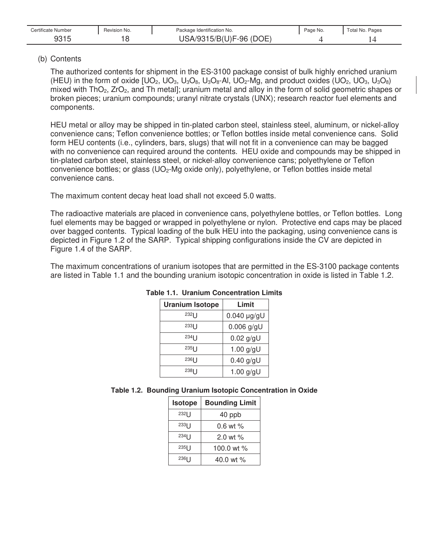| Certificate Number              | Revision No. | Package Identification No.                 | Page No. | Pages<br>Гotal No. F |
|---------------------------------|--------------|--------------------------------------------|----------|----------------------|
| $\sim$ $\sim$ $\sim$<br>JU<br>. |              | $\cap$<br>J)F-96<br>池<br>ו הונ<br>JJ.<br>- |          |                      |

### (b) Contents

The authorized contents for shipment in the ES-3100 package consist of bulk highly enriched uranium (HEU) in the form of oxide  $[UD_2, UD_3, U_3O_8, U_3O_8-AI, UD_2-Mg,$  and product oxides  $(UD_2, UD_3, U_3O_8)$ mixed with ThO2, ZrO2, and Th metal]; uranium metal and alloy in the form of solid geometric shapes or broken pieces; uranium compounds; uranyl nitrate crystals (UNX); research reactor fuel elements and components.

HEU metal or alloy may be shipped in tin-plated carbon steel, stainless steel, aluminum, or nickel-alloy convenience cans; Teflon convenience bottles; or Teflon bottles inside metal convenience cans. Solid form HEU contents (i.e., cylinders, bars, slugs) that will not fit in a convenience can may be bagged with no convenience can required around the contents. HEU oxide and compounds may be shipped in tin-plated carbon steel, stainless steel, or nickel-alloy convenience cans; polyethylene or Teflon convenience bottles; or glass (UO<sub>2</sub>-Mg oxide only), polyethylene, or Teflon bottles inside metal convenience cans.

The maximum content decay heat load shall not exceed 5.0 watts.

The radioactive materials are placed in convenience cans, polyethylene bottles, or Teflon bottles. Long fuel elements may be bagged or wrapped in polyethylene or nylon. Protective end caps may be placed over bagged contents. Typical loading of the bulk HEU into the packaging, using convenience cans is depicted in Figure 1.2 of the SARP. Typical shipping configurations inside the CV are depicted in Figure 1.4 of the SARP.

The maximum concentrations of uranium isotopes that are permitted in the ES-3100 package contents are listed in Table 1.1 and the bounding uranium isotopic concentration in oxide is listed in Table 1.2.

| <b>Uranium Isotope</b> | Limit         |
|------------------------|---------------|
| 232                    | $0.040$ µg/gU |
| 233                    | $0.006$ g/gU  |
| 23411                  | $0.02$ g/gU   |
| $235$                  | 1.00 $g/gU$   |
| $236$                  | $0.40$ g/gU   |
| $238$   $\vert$        | 1.00 $g/gU$   |

### **Table 1.1. Uranium Concentration Limits**

### **Table 1.2. Bounding Uranium Isotopic Concentration in Oxide**

| Isotope         | <b>Bounding Limit</b> |
|-----------------|-----------------------|
| $232$   $\vert$ | 40 ppb                |
| $233$   $\vert$ | $0.6$ wt $%$          |
| $234$           | $2.0$ wt $%$          |
| $235$   $\vert$ | 100.0 wt %            |
| 236             | 40.0 wt %             |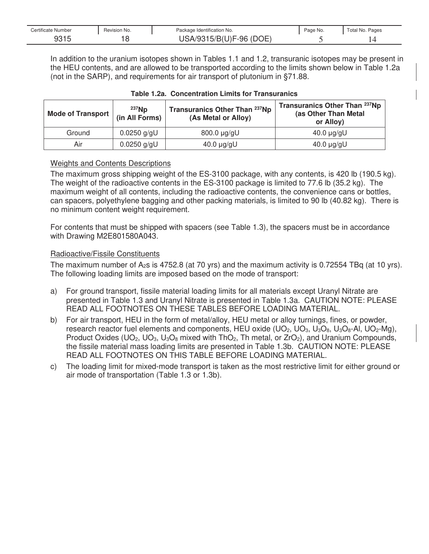| Certificate Number | Revision No. | Package Identification No. | Page No. | Fotal No.<br>Pages |
|--------------------|--------------|----------------------------|----------|--------------------|
| 0.015<br>Y3 I 5    |              | (DOE)<br>.5/B('<br>J)F-96  |          |                    |

In addition to the uranium isotopes shown in Tables 1.1 and 1.2, transuranic isotopes may be present in the HEU contents, and are allowed to be transported according to the limits shown below in Table 1.2a (not in the SARP), and requirements for air transport of plutonium in §71.88.

| Mode of Transport | $237$ Np<br>(in All Forms) | Transuranics Other Than 237Np<br>(As Metal or Alloy) | Transuranics Other Than 237Np<br>(as Other Than Metal<br>or Alloy) |
|-------------------|----------------------------|------------------------------------------------------|--------------------------------------------------------------------|
| Ground            | $0.0250$ g/gU              | $0.000$ pg/gU                                        | $40.0 \mu g/gU$                                                    |
| Air               | $0.0250$ g/gU              | $40.0 \mu g/gU$                                      | $40.0 \mu g/gU$                                                    |

### **Table 1.2a. Concentration Limits for Transuranics**

### Weights and Contents Descriptions

The maximum gross shipping weight of the ES-3100 package, with any contents, is 420 lb (190.5 kg). The weight of the radioactive contents in the ES-3100 package is limited to 77.6 lb (35.2 kg). The maximum weight of all contents, including the radioactive contents, the convenience cans or bottles, can spacers, polyethylene bagging and other packing materials, is limited to 90 lb (40.82 kg). There is no minimum content weight requirement.

For contents that must be shipped with spacers (see Table 1.3), the spacers must be in accordance with Drawing M2E801580A043.

### Radioactive/Fissile Constituents

The maximum number of A2s is 4752.8 (at 70 yrs) and the maximum activity is 0.72554 TBq (at 10 yrs). The following loading limits are imposed based on the mode of transport:

- a) For ground transport, fissile material loading limits for all materials except Uranyl Nitrate are presented in Table 1.3 and Uranyl Nitrate is presented in Table 1.3a. CAUTION NOTE: PLEASE READ ALL FOOTNOTES ON THESE TABLES BEFORE LOADING MATERIAL.
- b) For air transport, HEU in the form of metal/alloy, HEU metal or alloy turnings, fines, or powder, research reactor fuel elements and components, HEU oxide (UO<sub>2</sub>, UO<sub>3</sub>, U<sub>3</sub>O<sub>8</sub>, U<sub>3</sub>O<sub>8</sub>-Al, UO<sub>2</sub>-Mg), Product Oxides (UO<sub>2</sub>, UO<sub>3</sub>, U<sub>3</sub>O<sub>8</sub> mixed with ThO<sub>2</sub>, Th metal, or  $ZrO<sub>2</sub>$ ), and Uranium Compounds, the fissile material mass loading limits are presented in Table 1.3b. CAUTION NOTE: PLEASE READ ALL FOOTNOTES ON THIS TABLE BEFORE LOADING MATERIAL.
- c) The loading limit for mixed-mode transport is taken as the most restrictive limit for either ground or air mode of transportation (Table 1.3 or 1.3b).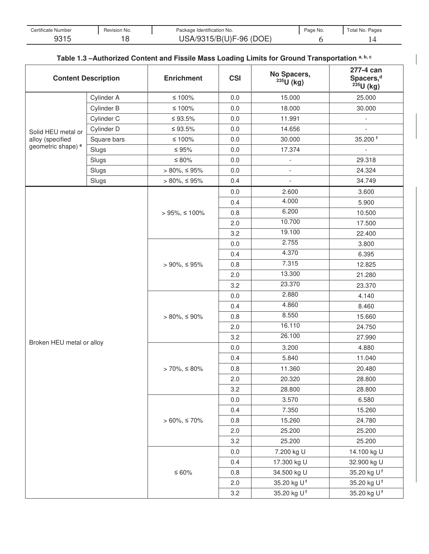| Certificate Number | Revision No. | Package Identification No. | Page No. | Total No. Pages |
|--------------------|--------------|----------------------------|----------|-----------------|
| ∩∩⊣⊏               | ╰            | NΕ<br>J)F-96<br>M          |          | ⊸<br>. .        |

## **Table 1.3 –Authorized Content and Fissile Mass Loading Limits for Ground Transportation a, b, c**

| <b>Content Description</b>    |             | <b>Enrichment</b>   | <b>CSI</b> | No Spacers,<br>$235U$ (kg) | 277-4 can<br>Spacers, <sup>d</sup><br>$235U$ (kg) |
|-------------------------------|-------------|---------------------|------------|----------------------------|---------------------------------------------------|
|                               | Cylinder A  | $≤ 100%$            | $0.0\,$    | 15.000                     | 25.000                                            |
|                               | Cylinder B  | $≤ 100%$            | $0.0\,$    | 18.000                     | 30.000                                            |
|                               | Cylinder C  | ≤ 93.5%             | $0.0\,$    | 11.991                     |                                                   |
| Solid HEU metal or            | Cylinder D  | $≤ 93.5\%$          | $0.0\,$    | 14.656                     |                                                   |
| alloy (specified              | Square bars | $\leq 100\%$        | $0.0\,$    | 30.000                     | 35.200 f                                          |
| geometric shape) <sup>e</sup> | Slugs       | $\leq 95\%$         | $0.0\,$    | 17.374                     | $\blacksquare$                                    |
|                               | Slugs       | $\leq 80\%$         | 0.0        | $\overline{\phantom{a}}$   | 29.318                                            |
|                               | Slugs       | $> 80\%, \leq 95\%$ | $0.0\,$    | $\overline{\phantom{a}}$   | 24.324                                            |
|                               | Slugs       | $> 80\%, \leq 95\%$ | 0.4        | $\overline{\phantom{0}}$   | 34.749                                            |
|                               |             |                     | 0.0        | 2.600                      | 3.600                                             |
|                               |             |                     | 0.4        | 4.000                      | 5.900                                             |
|                               |             | $> 95\%, \le 100\%$ | 0.8        | 6.200                      | 10.500                                            |
|                               |             |                     | 2.0        | 10.700                     | 17.500                                            |
|                               |             |                     | 3.2        | 19.100                     | 22.400                                            |
|                               |             |                     | 0.0        | 2.755                      | 3.800                                             |
|                               |             |                     | 0.4        | 4.370                      | 6.395                                             |
|                               |             | $> 90\%, \leq 95\%$ | 0.8        | 7.315                      | 12.825                                            |
|                               |             |                     | 2.0        | 13.300                     | 21.280                                            |
|                               |             |                     | 3.2        | 23.370                     | 23.370                                            |
|                               |             |                     | $0.0\,$    | 2.880                      | 4.140                                             |
|                               |             |                     | 0.4        | 4.860                      | 8.460                                             |
|                               |             | $> 80\%, \leq 90\%$ | 0.8        | 8.550                      | 15.660                                            |
|                               |             |                     | 2.0        | 16.110                     | 24.750                                            |
|                               |             |                     | 3.2        | 26.100                     | 27.990                                            |
| Broken HEU metal or alloy     |             |                     | 0.0        | 3.200                      | 4.880                                             |
|                               |             |                     | 0.4        | 5.840                      | 11.040                                            |
|                               |             | $> 70\%, \leq 80\%$ | 0.8        | 11.360                     | 20.480                                            |
|                               |             |                     | 2.0        | 20.320                     | 28.800                                            |
|                               |             |                     | 3.2        | 28.800                     | 28.800                                            |
|                               |             |                     | $0.0\,$    | 3.570                      | 6.580                                             |
|                               |             |                     | 0.4        | 7.350                      | 15.260                                            |
|                               |             | $> 60\%, \le 70\%$  | 0.8        | 15.260                     | 24.780                                            |
|                               |             |                     | 2.0        | 25.200                     | 25.200                                            |
|                               |             |                     | 3.2        | 25.200                     | 25.200                                            |
|                               |             |                     | $0.0\,$    | 7.200 kg U                 | 14.100 kg U                                       |
|                               |             |                     | 0.4        | 17.300 kg U                | 32.900 kg U                                       |
|                               |             | $≤ 60%$             | 0.8        | 34.500 kg U                | 35.20 kg U <sup>f</sup>                           |
|                               |             |                     | 2.0        | 35.20 kg Uf                | 35.20 kg Uf                                       |
|                               |             |                     | 3.2        | 35.20 kg U <sup>f</sup>    | 35.20 kg Uf                                       |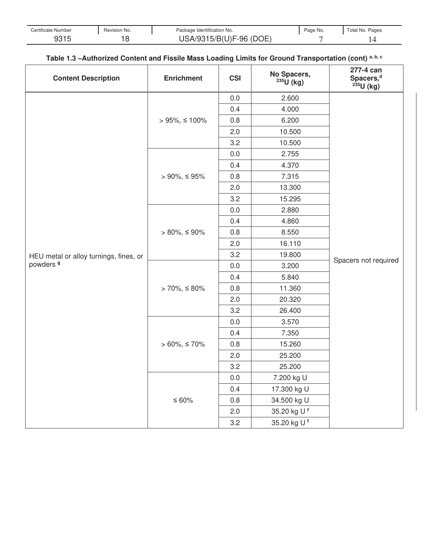| Certificate Number | Revision No. | Package Identification No. | Page No. | Total No. Pages |
|--------------------|--------------|----------------------------|----------|-----------------|
| ∩∩⊣ ⊑<br>ں ا ں ت   | c<br>∼       | $\sim$ $-$<br>)F-96<br>嗣   |          |                 |

## **Table 1.3 –Authorized Content and Fissile Mass Loading Limits for Ground Transportation (cont) a, b, c**

| <b>Content Description</b>             | <b>Enrichment</b>   | <b>CSI</b> | No Spacers,<br>$235U$ (kg) | 277-4 can<br>Spacers, <sup>d</sup><br>235U (kg) |
|----------------------------------------|---------------------|------------|----------------------------|-------------------------------------------------|
|                                        |                     | 0.0        | 2.600                      |                                                 |
|                                        |                     | 0.4        | 4.000                      |                                                 |
|                                        | $> 95\%, \le 100\%$ | 0.8        | 6.200                      |                                                 |
|                                        |                     | 2.0        | 10.500                     |                                                 |
|                                        |                     | 3.2        | 10.500                     |                                                 |
|                                        |                     | 0.0        | 2.755                      |                                                 |
|                                        |                     | 0.4        | 4.370                      |                                                 |
|                                        | $>90\%,\leq95\%$    | 0.8        | 7.315                      |                                                 |
|                                        |                     | 2.0        | 13.300                     |                                                 |
|                                        |                     | 3.2        | 15.295                     |                                                 |
|                                        |                     | 0.0        | 2.880                      |                                                 |
|                                        |                     | 0.4        | 4.860                      |                                                 |
|                                        | $> 80\%, \leq 90\%$ | 0.8        | 8.550                      | Spacers not required                            |
|                                        |                     | 2.0        | 16.110                     |                                                 |
| HEU metal or alloy turnings, fines, or |                     | 3.2        | 19.800                     |                                                 |
| powders <sup>9</sup>                   |                     | $0.0\,$    | 3.200                      |                                                 |
|                                        |                     | 0.4        | 5.840                      |                                                 |
|                                        | $> 70\%, \leq 80\%$ | 0.8        | 11.360                     |                                                 |
|                                        |                     | 2.0        | 20.320                     |                                                 |
|                                        |                     | 3.2        | 26.400                     |                                                 |
|                                        |                     | 0.0        | 3.570                      |                                                 |
|                                        |                     | 0.4        | 7.350                      |                                                 |
|                                        | $> 60\%, \leq 70\%$ | 0.8        | 15.260                     |                                                 |
|                                        |                     | 2.0        | 25.200                     |                                                 |
|                                        |                     | 3.2        | 25.200                     |                                                 |
|                                        |                     | $0.0\,$    | 7.200 kg U                 |                                                 |
|                                        |                     | 0.4        | 17.300 kg U                |                                                 |
|                                        | $≤ 60%$             | 0.8        | 34.500 kg U                |                                                 |
|                                        |                     | 2.0        | 35.20 kg U <sup>f</sup>    |                                                 |
|                                        |                     | 3.2        | 35.20 kg U <sup>f</sup>    |                                                 |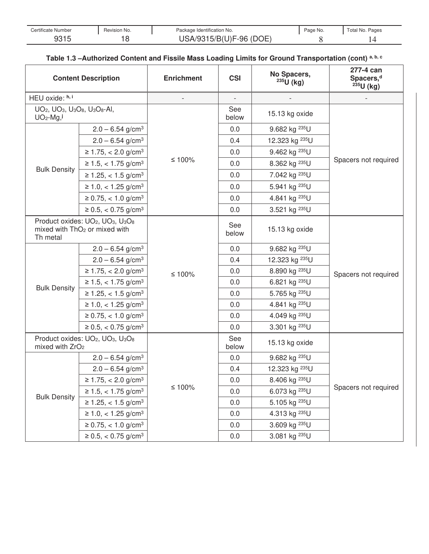| Certificate Number | Revision No. | Package Identification No. | Page No. | Total No. Pages |
|--------------------|--------------|----------------------------|----------|-----------------|
| 0.215<br>ں ا ں ت   | ∼            | $\sim$ $-$<br>)F-96<br>嗣   |          |                 |

### **Table 1.3 –Authorized Content and Fissile Mass Loading Limits for Ground Transportation (cont) a, b, c**

| <b>Content Description</b>                                                                                           |                                                                                                                                | <b>Enrichment</b> | <b>CSI</b>               | No Spacers,<br>$235U$ (kg) | 277-4 can<br>Spacers, <sup>d</sup><br>$235$ U (kg) |  |
|----------------------------------------------------------------------------------------------------------------------|--------------------------------------------------------------------------------------------------------------------------------|-------------------|--------------------------|----------------------------|----------------------------------------------------|--|
| HEU oxide: h, i                                                                                                      |                                                                                                                                |                   | $\overline{\phantom{a}}$ |                            |                                                    |  |
| UO <sub>2</sub> , UO <sub>3</sub> , U <sub>3</sub> O <sub>8</sub> , U <sub>3</sub> O <sub>8</sub> -AI,<br>$UO2$ -Mg, |                                                                                                                                |                   | See<br>below             | 15.13 kg oxide             |                                                    |  |
|                                                                                                                      | $2.0 - 6.54$ g/cm <sup>3</sup>                                                                                                 |                   | 0.0                      | 9.682 kg <sup>235</sup> U  |                                                    |  |
|                                                                                                                      | $2.0 - 6.54$ g/cm <sup>3</sup>                                                                                                 |                   | 0.4                      | 12.323 kg <sup>235</sup> U |                                                    |  |
|                                                                                                                      | $≥ 1.75, < 2.0$ g/cm <sup>3</sup>                                                                                              |                   | 0.0                      | 9.462 kg <sup>235</sup> U  |                                                    |  |
|                                                                                                                      | $≥ 1.5, < 1.75$ g/cm <sup>3</sup>                                                                                              | ≤ 100%            | 0.0                      | 8.362 kg <sup>235</sup> U  | Spacers not required                               |  |
| <b>Bulk Density</b>                                                                                                  | $≥ 1.25, < 1.5$ g/cm <sup>3</sup>                                                                                              |                   | 0.0                      | 7.042 kg <sup>235</sup> U  |                                                    |  |
|                                                                                                                      | $\geq 1.0, < 1.25$ g/cm <sup>3</sup>                                                                                           |                   | 0.0                      | 5.941 kg <sup>235</sup> U  |                                                    |  |
|                                                                                                                      | $≥ 0.75, < 1.0$ g/cm <sup>3</sup>                                                                                              |                   | 0.0                      | 4.841 kg <sup>235</sup> U  |                                                    |  |
|                                                                                                                      | $\geq 0.5, < 0.75$ g/cm <sup>3</sup>                                                                                           |                   | 0.0                      | 3.521 kg <sup>235</sup> U  |                                                    |  |
| Th metal                                                                                                             | Product oxides: UO <sub>2</sub> , UO <sub>3</sub> , U <sub>3</sub> O <sub>8</sub><br>mixed with ThO <sub>2</sub> or mixed with | $≤ 100%$          | See<br>below             | 15.13 kg oxide             |                                                    |  |
|                                                                                                                      | $2.0 - 6.54$ g/cm <sup>3</sup>                                                                                                 |                   | 0.0                      | 9.682 kg <sup>235</sup> U  |                                                    |  |
|                                                                                                                      | $2.0 - 6.54$ g/cm <sup>3</sup>                                                                                                 |                   | 0.4                      | 12.323 kg <sup>235</sup> U |                                                    |  |
|                                                                                                                      | $≥ 1.75, < 2.0$ g/cm <sup>3</sup>                                                                                              |                   | 0.0                      | 8.890 kg <sup>235</sup> U  | Spacers not required                               |  |
|                                                                                                                      | $≥ 1.5, < 1.75$ g/cm <sup>3</sup>                                                                                              |                   | 0.0                      | 6.821 kg <sup>235</sup> U  |                                                    |  |
| <b>Bulk Density</b>                                                                                                  | $≥ 1.25, < 1.5$ g/cm <sup>3</sup>                                                                                              |                   | 0.0                      | 5.765 kg <sup>235</sup> U  |                                                    |  |
|                                                                                                                      | $\geq 1.0, < 1.25$ g/cm <sup>3</sup>                                                                                           |                   | 0.0                      | 4.841 kg <sup>235</sup> U  |                                                    |  |
|                                                                                                                      | $≥ 0.75, < 1.0$ g/cm <sup>3</sup>                                                                                              |                   | 0.0                      | 4.049 kg <sup>235</sup> U  |                                                    |  |
|                                                                                                                      | $≥ 0.5, < 0.75$ g/cm <sup>3</sup>                                                                                              |                   | 0.0                      | 3.301 kg <sup>235</sup> U  |                                                    |  |
|                                                                                                                      | Product oxides: UO <sub>2</sub> , UO <sub>3</sub> , U <sub>3</sub> O <sub>8</sub><br>mixed with ZrO <sub>2</sub>               |                   | See<br>below             | 15.13 kg oxide             |                                                    |  |
|                                                                                                                      | $2.0 - 6.54$ g/cm <sup>3</sup>                                                                                                 |                   | 0.0                      | 9.682 kg <sup>235</sup> U  |                                                    |  |
|                                                                                                                      | $2.0 - 6.54$ g/cm <sup>3</sup>                                                                                                 |                   | 0.4                      | 12.323 kg <sup>235</sup> U |                                                    |  |
|                                                                                                                      | $≥ 1.75, < 2.0$ g/cm <sup>3</sup>                                                                                              |                   | 0.0                      | 8.406 kg <sup>235</sup> U  |                                                    |  |
|                                                                                                                      | $≥ 1.5, < 1.75$ g/cm <sup>3</sup>                                                                                              | $≤ 100%$          | 0.0                      | 6.073 kg <sup>235</sup> U  | Spacers not required                               |  |
| <b>Bulk Density</b>                                                                                                  | $≥ 1.25, < 1.5$ g/cm <sup>3</sup>                                                                                              |                   | 0.0                      | 5.105 kg <sup>235</sup> U  |                                                    |  |
|                                                                                                                      | $\geq 1.0, < 1.25$ g/cm <sup>3</sup>                                                                                           |                   | 0.0                      | 4.313 kg <sup>235</sup> U  |                                                    |  |
|                                                                                                                      | $\geq 0.75$ , < 1.0 g/cm <sup>3</sup>                                                                                          |                   | 0.0                      | 3.609 kg <sup>235</sup> U  |                                                    |  |
|                                                                                                                      | $\geq 0.5, < 0.75$ g/cm <sup>3</sup>                                                                                           |                   | 0.0                      | 3.081 kg <sup>235</sup> U  |                                                    |  |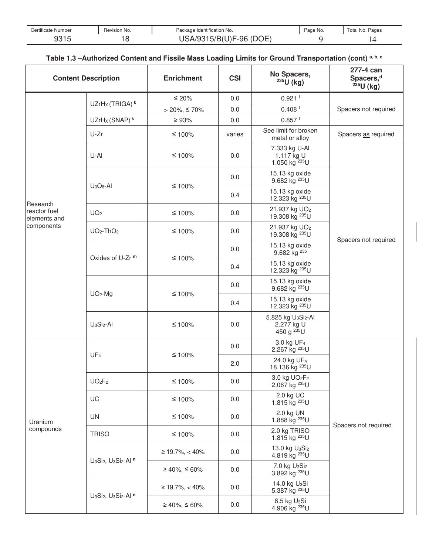| Certificate Number | Revision No. | Package Identification No. | Page No. | Total No. Pages |
|--------------------|--------------|----------------------------|----------|-----------------|
| ∩∩⊣ ⊑<br>ں ا ں ت   | £<br>∼       | $\sim$ $-$<br>)F-96<br>嗣   |          |                 |

### **Table 1.3 –Authorized Content and Fissile Mass Loading Limits for Ground Transportation (cont) a, b, c**

| <b>Content Description</b>   |                                                                                  | <b>Enrichment</b>   | <b>CSI</b> | No Spacers,<br>$235U$ (kg)                                                          | 277-4 can<br>Spacers, <sup>d</sup><br>$235$ U (kg) |
|------------------------------|----------------------------------------------------------------------------------|---------------------|------------|-------------------------------------------------------------------------------------|----------------------------------------------------|
|                              | UZrH <sub>x</sub> (TRIGA) <sup>k</sup>                                           | $≤ 20%$             | 0.0        | $0.921$ <sup>1</sup>                                                                |                                                    |
|                              |                                                                                  | $> 20\%, \leq 70\%$ | 0.0        | $0.408$ <sup>1</sup>                                                                | Spacers not required                               |
|                              | UZrHx (SNAP) <sup>k</sup>                                                        | $\geq 93\%$         | 0.0        | $0.857$ <sup>1</sup>                                                                |                                                    |
|                              | U-Zr                                                                             | $≤ 100%$            | varies     | See limit for broken<br>metal or alloy                                              | Spacers as required                                |
|                              | U-AI                                                                             | $≤ 100%$            | 0.0        | 7.333 kg U-Al<br>1.117 kg U<br>1.050 kg <sup>235</sup> U                            |                                                    |
|                              | $U_3O_8$ -Al                                                                     | $≤ 100%$            | 0.0        | 15.13 kg oxide<br>9.682 kg <sup>235</sup> U                                         |                                                    |
| Research                     |                                                                                  |                     | 0.4        | 15.13 kg oxide<br>12.323 kg <sup>235</sup> U                                        |                                                    |
| reactor fuel<br>elements and | UO <sub>2</sub>                                                                  | $≤ 100%$            | 0.0        | 21.937 kg UO <sub>2</sub><br>19.308 kg <sup>235</sup> U                             |                                                    |
| components                   | $UO2-ThO2$                                                                       | $≤ 100%$            | 0.0        | 21.937 kg UO <sub>2</sub><br>19.308 kg <sup>235</sup> U                             |                                                    |
|                              |                                                                                  |                     | 0.0        | 15.13 kg oxide<br>9.682 kg <sup>235</sup>                                           | Spacers not required                               |
|                              | Oxides of U-Zr <sup>m</sup>                                                      | $≤ 100%$            | 0.4        | 15.13 kg oxide<br>12.323 kg <sup>235</sup> U                                        |                                                    |
|                              | $UO2-Mg$                                                                         | $≤ 100%$            | 0.0        | 15.13 kg oxide<br>9.682 kg <sup>235</sup> U                                         |                                                    |
|                              |                                                                                  |                     | 0.4        | 15.13 kg oxide<br>12.323 kg <sup>235</sup> U                                        |                                                    |
|                              | $U_3Si_2$ -Al                                                                    | $≤ 100%$            | 0.0        | 5.825 kg U <sub>3</sub> Si <sub>2</sub> -Al<br>2.277 kg U<br>450 g <sup>235</sup> U |                                                    |
|                              | UF <sub>4</sub>                                                                  | $≤ 100%$            | $0.0\,$    | 3.0 kg UF <sub>4</sub><br>2.267 kg <sup>235</sup> U                                 |                                                    |
|                              |                                                                                  |                     | 2.0        | 24.0 kg UF <sub>4</sub><br>18.136 kg <sup>235</sup> U                               |                                                    |
|                              | UO <sub>2</sub> F <sub>2</sub>                                                   | $≤ 100%$            | 0.0        | 3.0 kg UO <sub>2</sub> F <sub>2</sub><br>2.067 kg <sup>235</sup> U                  |                                                    |
|                              | UC                                                                               | $≤ 100%$            | 0.0        | 2.0 kg UC<br>1.815 kg <sup>235</sup> U                                              |                                                    |
| Uranium<br>compounds         | <b>UN</b>                                                                        | $≤ 100%$            | 0.0        | 2.0 kg UN<br>1.888 kg <sup>235</sup> U                                              | Spacers not required                               |
|                              | <b>TRISO</b>                                                                     | $≤ 100%$            | $0.0\,$    | 2.0 kg TRISO<br>1.815 kg <sup>235</sup> U                                           |                                                    |
|                              |                                                                                  | $≥ 19.7\%, < 40\%$  | 0.0        | 13.0 kg $U_3Si_2$<br>4.819 kg <sup>235</sup> U                                      |                                                    |
|                              | U <sub>3</sub> Si <sub>2</sub> , U <sub>3</sub> Si <sub>2</sub> -Al <sup>n</sup> | $≥ 40\%, ≤ 60\%$    | 0.0        | 7.0 kg U <sub>3</sub> Si <sub>2</sub><br>3.892 kg <sup>235</sup> U                  |                                                    |
|                              |                                                                                  | $≥ 19.7\%, < 40\%$  | 0.0        | 14.0 kg U <sub>3</sub> Si<br>5.387 kg <sup>235</sup> U                              |                                                    |
|                              | U <sub>3</sub> Si <sub>2</sub> , U <sub>3</sub> Si <sub>2</sub> -Al <sup>n</sup> | $≥ 40\%, ≤ 60\%$    | 0.0        | 8.5 kg U <sub>3</sub> Si<br>4.906 kg <sup>235</sup> U                               |                                                    |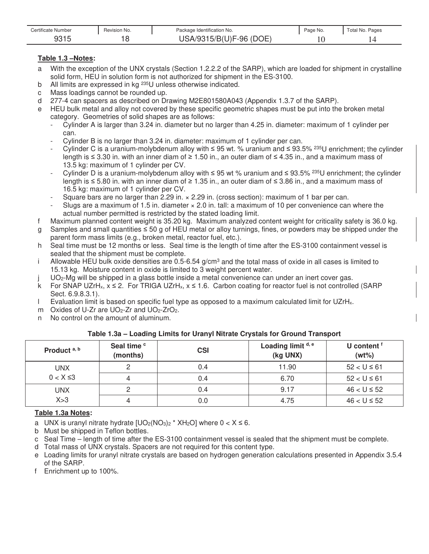| <b>Certificate Number</b> | Revision No. | Package Identification No.    | Page No. | <sup>r</sup> otal No.<br>Pages |
|---------------------------|--------------|-------------------------------|----------|--------------------------------|
| ∩∩⊣г<br>ں ا ب ت           |              | ЮE<br>'DC<br>$(U)F-96$<br>5/5 |          |                                |

### **Table 1.3 –Notes:**

- a With the exception of the UNX crystals (Section 1.2.2.2 of the SARP), which are loaded for shipment in crystalline solid form, HEU in solution form is not authorized for shipment in the ES-3100.
- b All limits are expressed in kg <sup>235</sup>U unless otherwise indicated.
- c Mass loadings cannot be rounded up.
- d 277-4 can spacers as described on Drawing M2E801580A043 (Appendix 1.3.7 of the SARP).
- e HEU bulk metal and alloy not covered by these specific geometric shapes must be put into the broken metal category. Geometries of solid shapes are as follows:
	- Cylinder A is larger than 3.24 in. diameter but no larger than 4.25 in. diameter: maximum of 1 cylinder per can.
	- Cylinder B is no larger than 3.24 in. diameter: maximum of 1 cylinder per can.
	- Cylinder C is a uranium-molybdenum alloy with  $\leq$  95 wt. % uranium and  $\leq$  93.5% <sup>235</sup>U enrichment; the cylinder length is  $\leq$  3.30 in. with an inner diam of  $\geq$  1.50 in., an outer diam of  $\leq$  4.35 in., and a maximum mass of 13.5 kg: maximum of 1 cylinder per CV.
	- Cylinder D is a uranium-molybdenum alloy with  $\leq$  95 wt % uranium and  $\leq$  93.5% <sup>235</sup>U enrichment; the cylinder length is  $\leq$  5.80 in. with an inner diam of  $\geq$  1.35 in., an outer diam of  $\leq$  3.86 in., and a maximum mass of 16.5 kg: maximum of 1 cylinder per CV.
	- Square bars are no larger than 2.29 in.  $\times$  2.29 in. (cross section): maximum of 1 bar per can.
	- Slugs are a maximum of 1.5 in. diameter  $\times$  2.0 in. tall: a maximum of 10 per convenience can where the actual number permitted is restricted by the stated loading limit.
- f Maximum planned content weight is 35.20 kg. Maximum analyzed content weight for criticality safety is 36.0 kg.
- g Samples and small quantities  $\leq 50$  g of HEU metal or alloy turnings, fines, or powders may be shipped under the parent form mass limits (e.g., broken metal, reactor fuel, etc.).
- h Seal time must be 12 months or less. Seal time is the length of time after the ES-3100 containment vessel is sealed that the shipment must be complete.
- i Allowable HEU bulk oxide densities are  $0.5$ -6.54 g/cm<sup>3</sup> and the total mass of oxide in all cases is limited to 15.13 kg. Moisture content in oxide is limited to 3 weight percent water.
- UO<sub>2</sub>-Mg will be shipped in a glass bottle inside a metal convenience can under an inert cover gas.
- k For SNAP UZrH<sub>x</sub>,  $x \le 2$ . For TRIGA UZrH<sub>x</sub>,  $x \le 1.6$ . Carbon coating for reactor fuel is not controlled (SARP Sect. 6.9.8.3.1).
- I Evaluation limit is based on specific fuel type as opposed to a maximum calculated limit for UZrH<sub>x</sub>.
- m Oxides of U-Zr are  $UO<sub>2</sub>$ -Zr and  $UO<sub>2</sub>$ -ZrO<sub>2</sub>.
- n No control on the amount of aluminum.

### **Table 1.3a – Loading Limits for Uranyl Nitrate Crystals for Ground Transport**

| Product <sup>a, b</sup> | Seal time <sup>c</sup><br>(months) | <b>CSI</b> | Loading limit d, e<br>(kg UNX) | U content <sup>f</sup><br>$(wt\%)$ |
|-------------------------|------------------------------------|------------|--------------------------------|------------------------------------|
| <b>UNX</b>              |                                    | 0.4        | 11.90                          | $52 < U \le 61$                    |
| $0 < X \leq 3$          |                                    | 0.4        | 6.70                           | $52 < U \le 61$                    |
| <b>UNX</b>              |                                    | 0.4        | 9.17                           | $46 < U \le 52$                    |
| X > 3                   |                                    | 0.0        | 4.75                           | $46 < U \le 52$                    |

### **Table 1.3a Notes:**

- a UNX is uranyl nitrate hydrate  $[UO_2(NO_3)_2 * XH_2O]$  where  $0 < X \le 6$ .
- b Must be shipped in Teflon bottles.
- c Seal Time length of time after the ES-3100 containment vessel is sealed that the shipment must be complete.
- d Total mass of UNX crystals. Spacers are not required for this content type.
- e Loading limits for uranyl nitrate crystals are based on hydrogen generation calculations presented in Appendix 3.5.4 of the SARP.
- f Enrichment up to 100%.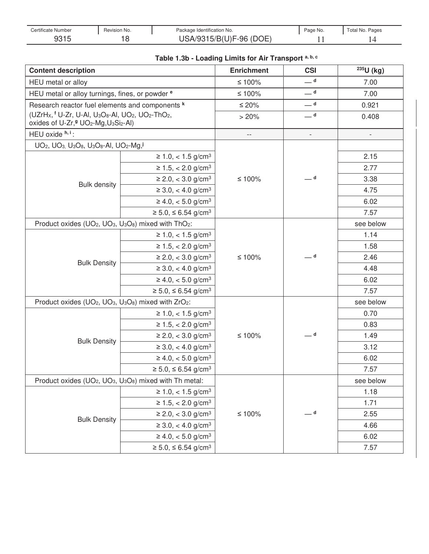| Certificate Number | Revision No. | Package Identification No. | Page No. | Total No. Pages |
|--------------------|--------------|----------------------------|----------|-----------------|
| 821 F<br>JU I J    |              | (DOE<br>$'(U)F-96$<br>5/B( |          |                 |

| Table 1.3b - Loading Limits for Air Transport a, b, c |  |  |  |  |
|-------------------------------------------------------|--|--|--|--|
|-------------------------------------------------------|--|--|--|--|

| <b>Content description</b>                                                                                                                                                                                         | <b>Enrichment</b>                   | <b>CSI</b>             | $235U$ (kg)              |           |
|--------------------------------------------------------------------------------------------------------------------------------------------------------------------------------------------------------------------|-------------------------------------|------------------------|--------------------------|-----------|
| HEU metal or alloy                                                                                                                                                                                                 |                                     | ≤ 100%                 | — d                      | 7.00      |
| HEU metal or alloy turnings, fines, or powder <sup>e</sup>                                                                                                                                                         |                                     | ≤ 100%                 | $\rule{1em}{0.15mm}$ d   | 7.00      |
| Research reactor fuel elements and components k                                                                                                                                                                    | $≤ 20%$                             | $\rule{1em}{0.15mm}$ d | 0.921                    |           |
| (UZrHx, <sup>f</sup> U-Zr, U-Al, U <sub>3</sub> O <sub>8</sub> -Al, UO <sub>2</sub> , UO <sub>2</sub> -ThO <sub>2</sub> ,<br>oxides of U-Zr, <sup>g</sup> UO <sub>2</sub> -Mg, U <sub>3</sub> Si <sub>2</sub> -Al) |                                     | > 20%                  | $-$ d                    | 0.408     |
| HEU oxide h, i :                                                                                                                                                                                                   |                                     | $-$                    | $\overline{\phantom{a}}$ |           |
| UO <sub>2</sub> , UO <sub>3</sub> , U <sub>3</sub> O <sub>8</sub> , U <sub>3</sub> O <sub>8</sub> -AI, UO <sub>2</sub> -Mg, <sup>j</sup>                                                                           |                                     |                        |                          |           |
|                                                                                                                                                                                                                    | $≥ 1.0, < 1.5$ g/cm <sup>3</sup>    |                        |                          | 2.15      |
|                                                                                                                                                                                                                    | $≥ 1.5, < 2.0$ g/cm <sup>3</sup>    |                        |                          | 2.77      |
| <b>Bulk density</b>                                                                                                                                                                                                | $\geq$ 2.0, < 3.0 g/cm <sup>3</sup> | ≤ 100%                 | $-$ d                    | 3.38      |
|                                                                                                                                                                                                                    | $\geq 3.0, < 4.0$ g/cm <sup>3</sup> |                        |                          | 4.75      |
|                                                                                                                                                                                                                    | $\geq 4.0, < 5.0$ g/cm <sup>3</sup> |                        |                          | 6.02      |
|                                                                                                                                                                                                                    | $≥ 5.0, ≤ 6.54$ g/cm <sup>3</sup>   |                        |                          | 7.57      |
| Product oxides (UO <sub>2</sub> , UO <sub>3</sub> , U <sub>3</sub> O <sub>8</sub> ) mixed with ThO <sub>2</sub> :                                                                                                  |                                     |                        |                          | see below |
|                                                                                                                                                                                                                    | $≥ 1.0, < 1.5$ g/cm <sup>3</sup>    | ≤ 100%                 |                          | 1.14      |
|                                                                                                                                                                                                                    | $≥ 1.5, < 2.0$ g/cm <sup>3</sup>    |                        |                          | 1.58      |
|                                                                                                                                                                                                                    | $≥ 2.0, < 3.0$ g/cm <sup>3</sup>    |                        | — d                      | 2.46      |
| <b>Bulk Density</b>                                                                                                                                                                                                | $\geq 3.0, < 4.0$ g/cm <sup>3</sup> |                        |                          | 4.48      |
|                                                                                                                                                                                                                    | $\geq 4.0, < 5.0$ g/cm <sup>3</sup> |                        |                          | 6.02      |
|                                                                                                                                                                                                                    | $≥ 5.0, ≤ 6.54$ g/cm <sup>3</sup>   |                        |                          | 7.57      |
| Product oxides (UO <sub>2</sub> , UO <sub>3</sub> , U <sub>3</sub> O <sub>8</sub> ) mixed with ZrO <sub>2</sub> :                                                                                                  |                                     |                        |                          | see below |
|                                                                                                                                                                                                                    | $≥ 1.0, < 1.5$ g/cm <sup>3</sup>    |                        |                          | 0.70      |
|                                                                                                                                                                                                                    | $≥ 1.5, < 2.0$ g/cm <sup>3</sup>    |                        |                          | 0.83      |
| <b>Bulk Density</b>                                                                                                                                                                                                | $\geq$ 2.0, < 3.0 g/cm <sup>3</sup> | ≤ 100%                 | _ d                      | 1.49      |
|                                                                                                                                                                                                                    | $\geq 3.0, < 4.0$ g/cm <sup>3</sup> |                        |                          | 3.12      |
|                                                                                                                                                                                                                    | $\geq 4.0, < 5.0$ g/cm <sup>3</sup> |                        |                          | 6.02      |
|                                                                                                                                                                                                                    | $≥ 5.0, ≤ 6.54$ g/cm <sup>3</sup>   |                        |                          | 7.57      |
| Product oxides (UO <sub>2</sub> , UO <sub>3</sub> , U <sub>3</sub> O <sub>8</sub> ) mixed with Th metal:                                                                                                           |                                     |                        |                          | see below |
|                                                                                                                                                                                                                    | $≥ 1.0, < 1.5$ g/cm <sup>3</sup>    |                        |                          | 1.18      |
|                                                                                                                                                                                                                    | $\geq 1.5, < 2.0$ g/cm <sup>3</sup> |                        |                          | 1.71      |
|                                                                                                                                                                                                                    | $\geq$ 2.0, < 3.0 g/cm <sup>3</sup> | $≤ 100%$               | $\rule{1em}{0.15mm}$ d   | 2.55      |
| <b>Bulk Density</b>                                                                                                                                                                                                | $\geq 3.0, < 4.0$ g/cm <sup>3</sup> |                        |                          | 4.66      |
|                                                                                                                                                                                                                    | $\geq 4.0, < 5.0$ g/cm <sup>3</sup> |                        |                          | 6.02      |
|                                                                                                                                                                                                                    | $≥ 5.0, ≤ 6.54$ g/cm <sup>3</sup>   |                        |                          | 7.57      |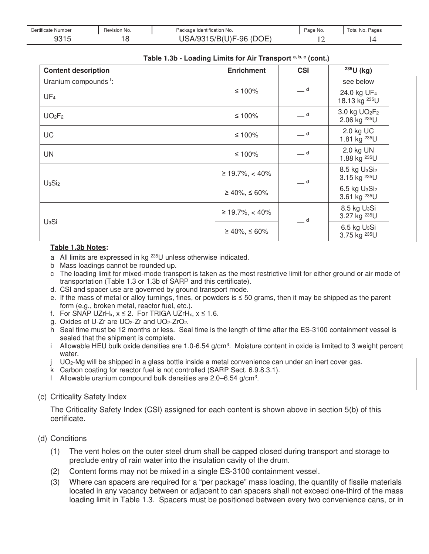| Certificate Number | Revision No. | Package Identification No.          | Page No. | Total No. Pages |
|--------------------|--------------|-------------------------------------|----------|-----------------|
| 9315<br>ں رہ ن     |              | 15/B(U)F-96 (DOE)<br><b>SA/9315</b> |          |                 |

| Table 1.3b - Loading Limits for Air Transport a, b, c (cont.) |  |  |  |
|---------------------------------------------------------------|--|--|--|
|---------------------------------------------------------------|--|--|--|

| <b>Content description</b>       | <b>Enrichment</b>  | <b>CSI</b> | 235U (kg)                                                         |
|----------------------------------|--------------------|------------|-------------------------------------------------------------------|
| Uranium compounds <sup>1</sup> : |                    |            | see below                                                         |
| UF <sub>4</sub>                  | ≤ 100%             | $-$ d      | 24.0 kg UF <sub>4</sub><br>18.13 kg <sup>235</sup> U              |
| UO <sub>2</sub> F <sub>2</sub>   | ≤ 100%             | $-$ d      | 3.0 kg UO <sub>2</sub> F <sub>2</sub><br>2.06 kg <sup>235</sup> U |
| UC                               | ≤ 100%             | $-$ d      | 2.0 kg UC<br>1.81 kg <sup>235</sup> U                             |
| UN                               | ≤ 100%             | $-$ d      | 2.0 kg UN<br>1.88 kg <sup>235</sup> U                             |
| $U_3Si_2$                        | $≥ 19.7\%, < 40\%$ | — d        | 8.5 kg U <sub>3</sub> Si <sub>2</sub><br>3.15 kg <sup>235</sup> U |
|                                  | $≥ 40\%, ≤ 60\%$   |            | 6.5 kg U <sub>3</sub> Si <sub>2</sub><br>3.61 kg <sup>235</sup> U |
|                                  | $≥ 19.7\%, < 40\%$ | $-$ d      | 8.5 kg U <sub>3</sub> Si<br>3.27 kg <sup>235</sup> U              |
| $U_3Si$                          | $≥ 40\%, ≤ 60\%$   |            | 6.5 kg U <sub>3</sub> Si<br>3.75 kg <sup>235</sup> U              |

#### **Table 1.3b Notes:**

- a All limits are expressed in kg 235U unless otherwise indicated.
- b Mass loadings cannot be rounded up.
- c The loading limit for mixed-mode transport is taken as the most restrictive limit for either ground or air mode of transportation (Table 1.3 or 1.3b of SARP and this certificate).
- d. CSI and spacer use are governed by ground transport mode.
- e. If the mass of metal or alloy turnings, fines, or powders is  $\leq$  50 grams, then it may be shipped as the parent form (e.g., broken metal, reactor fuel, etc.).
- f. For SNAP UZrH<sub>x</sub>,  $x \le 2$ . For TRIGA UZrH<sub>x</sub>,  $x \le 1.6$ .
- g. Oxides of U-Zr are UO<sub>2</sub>-Zr and UO<sub>2</sub>-ZrO<sub>2</sub>.
- h Seal time must be 12 months or less. Seal time is the length of time after the ES-3100 containment vessel is sealed that the shipment is complete.
- i Allowable HEU bulk oxide densities are 1.0-6.54 g/cm<sup>3</sup>. Moisture content in oxide is limited to 3 weight percent water.
- UO<sub>2</sub>-Mg will be shipped in a glass bottle inside a metal convenience can under an inert cover gas.
- k Carbon coating for reactor fuel is not controlled (SARP Sect. 6.9.8.3.1).
- l Allowable uranium compound bulk densities are  $2.0 6.54$  g/cm<sup>3</sup>.
- (c) Criticality Safety Index

The Criticality Safety Index (CSI) assigned for each content is shown above in section 5(b) of this certificate.

- (d) Conditions
	- (1) The vent holes on the outer steel drum shall be capped closed during transport and storage to preclude entry of rain water into the insulation cavity of the drum.
	- (2) Content forms may not be mixed in a single ES-3100 containment vessel.
	- (3) Where can spacers are required for a "per package" mass loading, the quantity of fissile materials located in any vacancy between or adjacent to can spacers shall not exceed one-third of the mass loading limit in Table 1.3. Spacers must be positioned between every two convenience cans, or in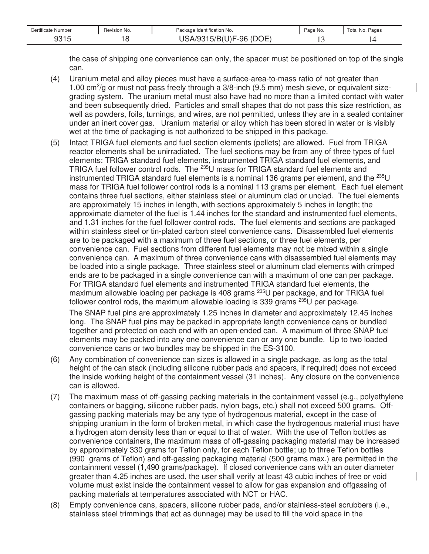| Certificate Number | Revision No. | Package Identification No.         | Page No. | Pages<br>! otal No. |
|--------------------|--------------|------------------------------------|----------|---------------------|
| ∩∩⊿ г<br>ں این     | $\sim$       | OE<br>71 IYE<br>'DC<br>-96<br>5/KI |          |                     |

the case of shipping one convenience can only, the spacer must be positioned on top of the single can.

- (4) Uranium metal and alloy pieces must have a surface-area-to-mass ratio of not greater than 1.00 cm<sup>2</sup>/g or must not pass freely through a 3/8-inch (9.5 mm) mesh sieve, or equivalent sizegrading system. The uranium metal must also have had no more than a limited contact with water and been subsequently dried. Particles and small shapes that do not pass this size restriction, as well as powders, foils, turnings, and wires, are not permitted, unless they are in a sealed container under an inert cover gas. Uranium material or alloy which has been stored in water or is visibly wet at the time of packaging is not authorized to be shipped in this package.
- (5) Intact TRIGA fuel elements and fuel section elements (pellets) are allowed. Fuel from TRIGA reactor elements shall be unirradiated. The fuel sections may be from any of three types of fuel elements: TRIGA standard fuel elements, instrumented TRIGA standard fuel elements, and TRIGA fuel follower control rods. The <sup>235</sup>U mass for TRIGA standard fuel elements and instrumented TRIGA standard fuel elements is a nominal 136 grams per element, and the  $^{235}U$ mass for TRIGA fuel follower control rods is a nominal 113 grams per element. Each fuel element contains three fuel sections, either stainless steel or aluminum clad or unclad. The fuel elements are approximately 15 inches in length, with sections approximately 5 inches in length; the approximate diameter of the fuel is 1.44 inches for the standard and instrumented fuel elements, and 1.31 inches for the fuel follower control rods. The fuel elements and sections are packaged within stainless steel or tin-plated carbon steel convenience cans. Disassembled fuel elements are to be packaged with a maximum of three fuel sections, or three fuel elements, per convenience can. Fuel sections from different fuel elements may not be mixed within a single convenience can. A maximum of three convenience cans with disassembled fuel elements may be loaded into a single package. Three stainless steel or aluminum clad elements with crimped ends are to be packaged in a single convenience can with a maximum of one can per package. For TRIGA standard fuel elements and instrumented TRIGA standard fuel elements, the maximum allowable loading per package is 408 grams  $^{235}$ U per package, and for TRIGA fuel follower control rods, the maximum allowable loading is 339 grams  $^{235}$ U per package. The SNAP fuel pins are approximately 1.25 inches in diameter and approximately 12.45 inches long. The SNAP fuel pins may be packed in appropriate length convenience cans or bundled together and protected on each end with an open-ended can. A maximum of three SNAP fuel elements may be packed into any one convenience can or any one bundle. Up to two loaded convenience cans or two bundles may be shipped in the ES-3100.
- (6) Any combination of convenience can sizes is allowed in a single package, as long as the total height of the can stack (including silicone rubber pads and spacers, if required) does not exceed the inside working height of the containment vessel (31 inches). Any closure on the convenience can is allowed.
- (7) The maximum mass of off-gassing packing materials in the containment vessel (e.g., polyethylene containers or bagging, silicone rubber pads, nylon bags, etc.) shall not exceed 500 grams. Offgassing packing materials may be any type of hydrogenous material, except in the case of shipping uranium in the form of broken metal, in which case the hydrogenous material must have a hydrogen atom density less than or equal to that of water. With the use of Teflon bottles as convenience containers, the maximum mass of off-gassing packaging material may be increased by approximately 330 grams for Teflon only, for each Teflon bottle; up to three Teflon bottles (990 grams of Teflon) and off-gassing packaging material (500 grams max.) are permitted in the containment vessel (1,490 grams/package). If closed convenience cans with an outer diameter greater than 4.25 inches are used, the user shall verify at least 43 cubic inches of free or void volume must exist inside the containment vessel to allow for gas expansion and offgassing of packing materials at temperatures associated with NCT or HAC.
- (8) Empty convenience cans, spacers, silicone rubber pads, and/or stainless-steel scrubbers (i.e., stainless steel trimmings that act as dunnage) may be used to fill the void space in the